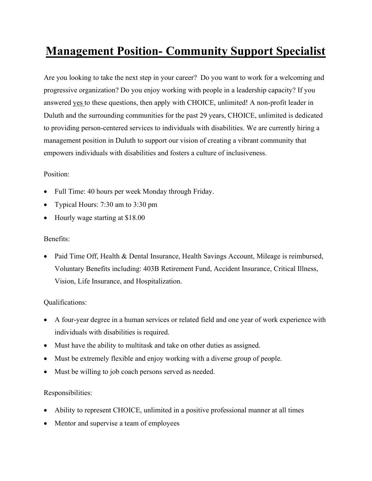# Management Position- Community Support Specialist

Are you looking to take the next step in your career? Do you want to work for a welcoming and progressive organization? Do you enjoy working with people in a leadership capacity? If you answered yes to these questions, then apply with CHOICE, unlimited! A non-profit leader in Duluth and the surrounding communities for the past 29 years, CHOICE, unlimited is dedicated to providing person-centered services to individuals with disabilities. We are currently hiring a management position in Duluth to support our vision of creating a vibrant community that empowers individuals with disabilities and fosters a culture of inclusiveness.

### Position:

- Full Time: 40 hours per week Monday through Friday.
- Typical Hours: 7:30 am to 3:30 pm
- Hourly wage starting at \$18.00

### Benefits:

• Paid Time Off, Health & Dental Insurance, Health Savings Account, Mileage is reimbursed, Voluntary Benefits including: 403B Retirement Fund, Accident Insurance, Critical Illness, Vision, Life Insurance, and Hospitalization.

# Qualifications:

- A four-year degree in a human services or related field and one year of work experience with individuals with disabilities is required.
- Must have the ability to multitask and take on other duties as assigned.
- Must be extremely flexible and enjoy working with a diverse group of people.
- Must be willing to job coach persons served as needed.

# Responsibilities:

- Ability to represent CHOICE, unlimited in a positive professional manner at all times
- Mentor and supervise a team of employees